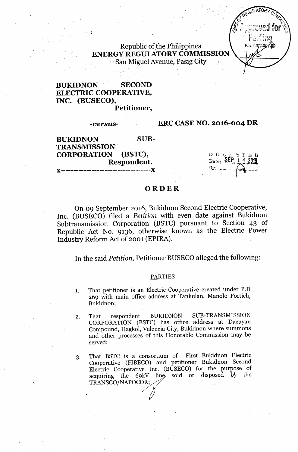Republic of the Philippines ENERGY REGULATORY COMMISSION San Miguel Avenue, Pasig City

# BUKIDNON SECOND ELECTRIC COOPERATIVE, INC. (BUSECO),

Petitioner,

#### *-versus-*

## ERC CASE NO. 2016-004 DR

| <b>BUKIDNON</b>     | SUB- |                              |
|---------------------|------|------------------------------|
| <b>TRANSMISSION</b> |      |                              |
| CORPORATION (BSTC), |      | $\frac{1}{2}$ O SEP 1 4.2018 |
| Respondent.         |      |                              |
|                     |      | $\mathbf{B}$ y: $\ldots$     |
|                     |      |                              |

## **ORDER**

On 09 September 2016, Bukidnon Second Electric Cooperative, Inc. (BUSECO) filed a *Petition* with even date against Bukidnon Subtransmission Corporation (BSTC) pursuant to Section 43 of Republic Act No. 9136, otherwise known as the Electric Power Industry Reform Act of 2001 (EPIRA).

In the said *Petition,* Petitioner BUSECO alleged the following:

### PARTIES

- 1. That petitioner is an Electric Cooperative created under P.D 269 with main office address at Tankulan, Manolo Fortich, Bukidnon;
- 2. That respondent BUKIDNON SUB-TRANSMISSION CORPORATION (BSTC) has office address at Dacuyan Compound, Hagkol, Valencia City, Bukidnon where summons and other processes of this Honorable Commission may be served;
- 3. That BSTC is a consortium of First Bukidnon Electric Cooperative (FIBECO) and petitioner Bukidnon Second Electric Cooperative Inc. (BUSECO) for the purpose of acquiring the 69kV line sold or disposed by the TRANSCO/NAPOCOR;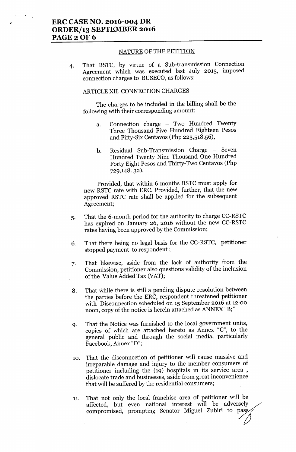### NATURE OF THE PETITION

4. That BSTC, by virtue of a Sub-transmission Connection Agreement which was executed last July 2015, imposed connection charges to BUSECO, as follows:

### ARTICLEXII. CONNECTION CHARGES

The charges to be included in the billing shall be the following with their corresponding amount:

- a. Connection charge Two Hundred Twenty Three Thousand Five Hundred Eighteen Pesos and Fifty-Six Centavos (Php 223,518.56),
- b. Residual Sub-Transmission Charge Seven Hundred Twenty Nine Thousand One Hundred Forty Eight Pesos and Thirty-Two Centavos (Php 729,148. 32),

Provided, that within 6 months BSTC must apply for new RSTC rate with ERC. Provided, further, that the new approved RSTC rate shall be applied for the subsequent Agreement;

- 5. That the 6-month period for the authority to charge CC-RSTC has expired on January 26, 2016 without the new CC-RSTC rates having been approved by the Commission;
- 6. That there being no legal basis for the CC-RSTC, petitioner stopped payment to respondent;
- 7. That likewise, aside from the lack of authority from the Commission, petitioner also questions validity of the inclusion of the Value Added Tax (VAT);
- 8. That while there is still a pending dispute resolution between the parties before the ERC, respondent threatened petitioner with Disconnection scheduled on 15 September 2016 at 12:00 noon, copy of the notice is herein attached as ANNEX "B;"
- 9. That the Notice was furnished to the local government units, copies of which are attached hereto as Annex "C", to the general public and through the social media, particularly Facebook, Annex "D";
- 10. That the disconnection of petitioner will cause massive and irreparable damage and injury to the member consumers of petitioner including the (19) hospitals in its service area, dislocate trade and businesses, aside from great inconvenience that will be suffered by the residential consumers;
- 11. That not only the local franchise area of petitioner will be affected, but even national interest will be adversely That not only the local franchise area of petitioner win be<br>affected, but even national interest will be adversely<br>compromised, prompting Senator Miguel Zubiri to pass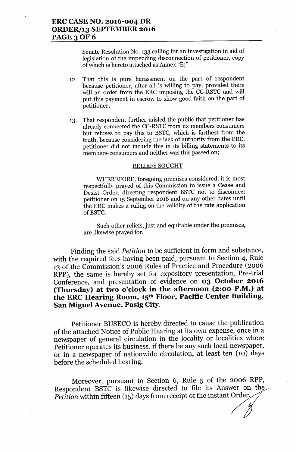Senate Resolution No. 133 calling for an investigation in aid of legislation of the impending disconnection of petitioner, copy of which is hereto attached as Annex "E;"

12. That this is pure harassment on the part of respondent because petitioner, after all is willing to pay, provided there will an order from the ERC imposing the CC-RSTC and will put this payment in escrow to show good faith on the part of petitioner;

13. That respondent further misled the public that petitioner has already connected the CC-RSTC from its members consumers but refuses to pay this to BSTC, which is farthest from the truth, because considering the lack of authority from the ERC, petitioner did not include this in its billing statements to its members-consumers and neither was this passed on;

#### RELIEFS SOUGHT

WHEREFORE, foregoing premises considered, it is most respectfully prayed. of this Commission to issue a Cease and Desist Order, directing respondent BSTC not to disconnect petitioner on 15 September 2016 and on any other dates until the ERC makes a ruling on the validity of the rate application of BSTC.

Such other reliefs, just and equitable under the premises, are likewise prayed for.

Finding the said *Petition* to be sufficient in form and substance, with the required fees having been paid, pursuant to Section 4, Rule 13 of the Commission's 2006 Rules of Practice and Procedure (2006 RPP), the same is hereby set for expository presentation, Pre-trial Conference, and presentation of evidence on **03 October 2016 (Thursday) at two o'clock in the afternoon (2:00 P.M.) at the ERC Hearing Room, 15th Floor, Pacific Center Building, San Miguel Avenue, Pasig** City.

Petitioner BUSECO is hereby directed to cause the publication of the attached Notice of Public Hearing at its own expense, once in a newspaper of general circulation in the locality or localities where Petitioner operates its business, if there be any such local newspaper, or in a newspaper of nationwide circulation, at least ten (10) days before the scheduled hearing.

Moreover, pursuant to Section 6, Rule 5 of the 2006 RPP, Respondent BSTC is likewise directed to file its Answer on the *Petition* within fifteen (15) days from receipt of the instant Order.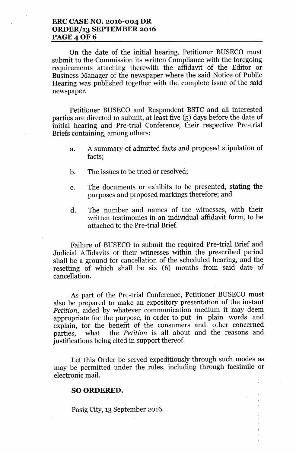## **ERC CASE NO. 2016-004 DR ORDER/13 SEPTEMBER 2016 PAGE40F6**

On the date of the initial hearing, Petitioner BUSECO must submit to the Commission its written Compliance with the foregoing requirements attaching therewith the affidavit of the Editor or Business Manager of the newspaper where the said Notice of Public Hearing was published together with the complete issue of the said newspaper.

Petitioner BUSECO and Respondent BSTC and all interested parties are directed to submit, at least five (5) days before the date of initial hearing and Pre-trial Conference, their respective Pre-trial Briefs containing, among others:

- a. A summary of admitted facts and proposed stipulation of facts;
- b. The issues to be tried or resolved;
- c. The documents or exhibits to be presented, stating the purposes and proposed markings therefore; and
- d. The number and names of the witnesses, with their written testimonies in an individual affidavit form, to be attached to the Pre-trial Brief.

Failure of BUSECO to submit the required Pre-trial Brief and Judicial Affidavits of their witnesses within the prescribed period shall be a ground for cancellation of the scheduled hearing, and the resetting of which shall be six (6) months from said date of cancellation.

As part of the Pre-trial Conference, Petitioner BUSECO must also be prepared to make an expository presentation of the instant *Petition,* aided by whatever communication medium it may deem appropriate for the purpose, in order to put in plain words and explain, for the benefit of the consumers and other concerned parties, what the *Petition* is all about and the reasons and justifications being cited in support thereof.

Let this Order be served expeditiously through such modes as may be permitted under the rules, including through facsimile or electronic mail.

### SO ORDERED.

Pasig City, 13 September 2016.